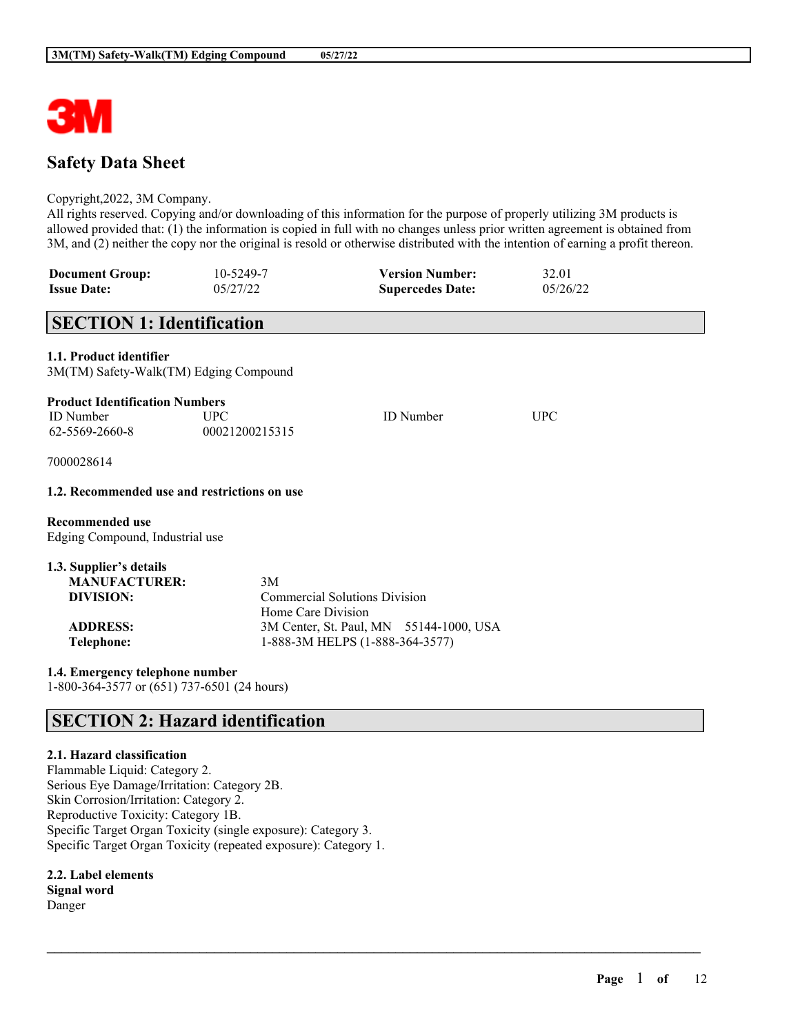

# **Safety Data Sheet**

## Copyright,2022, 3M Company.

All rights reserved. Copying and/or downloading of this information for the purpose of properly utilizing 3M products is allowed provided that: (1) the information is copied in full with no changes unless prior written agreement is obtained from 3M, and (2) neither the copy nor the original is resold or otherwise distributed with the intention of earning a profit thereon.

 $\mathcal{L}_\mathcal{L} = \mathcal{L}_\mathcal{L} = \mathcal{L}_\mathcal{L} = \mathcal{L}_\mathcal{L} = \mathcal{L}_\mathcal{L} = \mathcal{L}_\mathcal{L} = \mathcal{L}_\mathcal{L} = \mathcal{L}_\mathcal{L} = \mathcal{L}_\mathcal{L} = \mathcal{L}_\mathcal{L} = \mathcal{L}_\mathcal{L} = \mathcal{L}_\mathcal{L} = \mathcal{L}_\mathcal{L} = \mathcal{L}_\mathcal{L} = \mathcal{L}_\mathcal{L} = \mathcal{L}_\mathcal{L} = \mathcal{L}_\mathcal{L}$ 

| <b>Document Group:</b> | 10-5249-7 | <b>Version Number:</b>  | 32.01    |
|------------------------|-----------|-------------------------|----------|
| <b>Issue Date:</b>     | 05/27/22  | <b>Supercedes Date:</b> | 05/26/22 |

# **SECTION 1: Identification**

**1.1. Product identifier**

| 3M(TM) Safety-Walk(TM) Edging Compound |
|----------------------------------------|
|----------------------------------------|

| <b>Product Identification Numbers</b> |                |                  |      |  |  |
|---------------------------------------|----------------|------------------|------|--|--|
| ID Number                             | UPC.           | <b>ID</b> Number | UPC. |  |  |
| 62-5569-2660-8                        | 00021200215315 |                  |      |  |  |

7000028614

## **1.2. Recommended use and restrictions on use**

**Recommended use** Edging Compound, Industrial use

| 1.3. Supplier's details |                                         |  |
|-------------------------|-----------------------------------------|--|
| <b>MANUFACTURER:</b>    | 3M                                      |  |
| DIVISION:               | <b>Commercial Solutions Division</b>    |  |
|                         | Home Care Division                      |  |
| <b>ADDRESS:</b>         | 3M Center, St. Paul, MN 55144-1000, USA |  |
| Telephone:              | 1-888-3M HELPS (1-888-364-3577)         |  |

**1.4. Emergency telephone number** 1-800-364-3577 or (651) 737-6501 (24 hours)

# **SECTION 2: Hazard identification**

## **2.1. Hazard classification**

Flammable Liquid: Category 2. Serious Eye Damage/Irritation: Category 2B. Skin Corrosion/Irritation: Category 2. Reproductive Toxicity: Category 1B. Specific Target Organ Toxicity (single exposure): Category 3. Specific Target Organ Toxicity (repeated exposure): Category 1.

**2.2. Label elements Signal word** Danger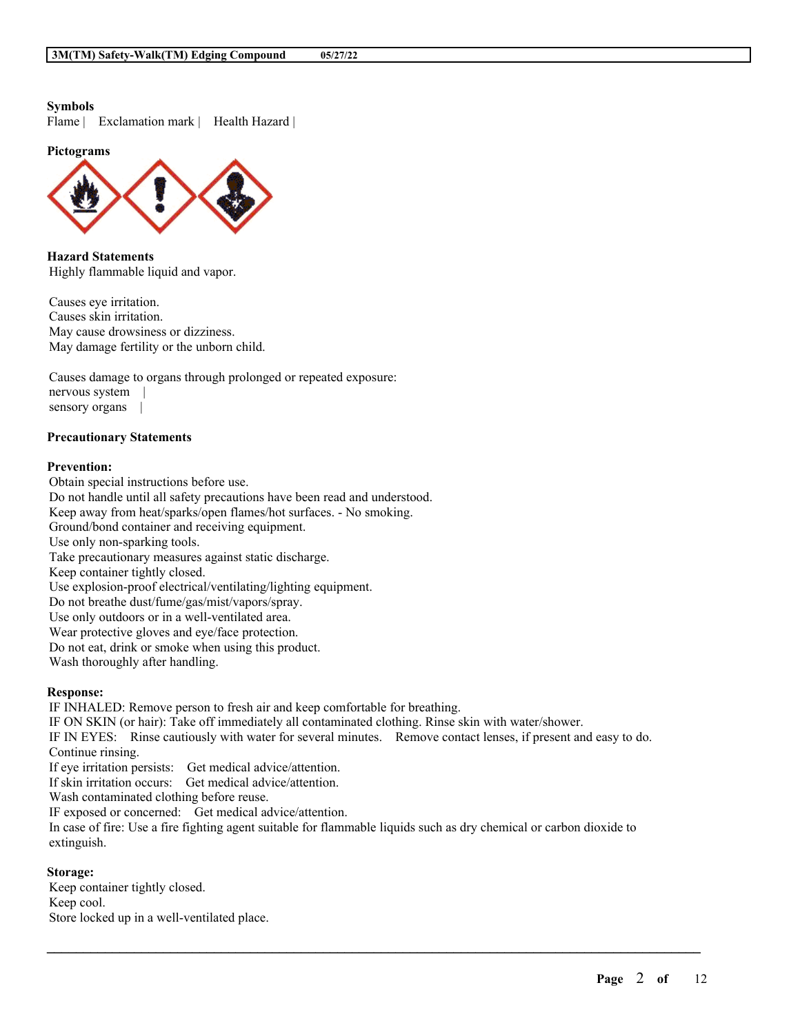### **Symbols**

Flame | Exclamation mark | Health Hazard |

**Pictograms**



**Hazard Statements** Highly flammable liquid and vapor.

Causes eye irritation. Causes skin irritation. May cause drowsiness or dizziness. May damage fertility or the unborn child.

Causes damage to organs through prolonged or repeated exposure: nervous system | sensory organs |

## **Precautionary Statements**

## **Prevention:**

Obtain special instructions before use. Do not handle until all safety precautions have been read and understood. Keep away from heat/sparks/open flames/hot surfaces. - No smoking. Ground/bond container and receiving equipment. Use only non-sparking tools. Take precautionary measures against static discharge. Keep container tightly closed. Use explosion-proof electrical/ventilating/lighting equipment. Do not breathe dust/fume/gas/mist/vapors/spray. Use only outdoors or in a well-ventilated area. Wear protective gloves and eye/face protection. Do not eat, drink or smoke when using this product. Wash thoroughly after handling.

#### **Response:**

IF INHALED: Remove person to fresh air and keep comfortable for breathing. IF ON SKIN (or hair): Take off immediately all contaminated clothing. Rinse skin with water/shower. IF IN EYES: Rinse cautiously with water for several minutes. Remove contact lenses, if present and easy to do. Continue rinsing. If eye irritation persists: Get medical advice/attention. If skin irritation occurs: Get medical advice/attention. Wash contaminated clothing before reuse. IF exposed or concerned: Get medical advice/attention.

In case of fire: Use a fire fighting agent suitable for flammable liquids such as dry chemical or carbon dioxide to extinguish.

 $\mathcal{L}_\mathcal{L} = \mathcal{L}_\mathcal{L} = \mathcal{L}_\mathcal{L} = \mathcal{L}_\mathcal{L} = \mathcal{L}_\mathcal{L} = \mathcal{L}_\mathcal{L} = \mathcal{L}_\mathcal{L} = \mathcal{L}_\mathcal{L} = \mathcal{L}_\mathcal{L} = \mathcal{L}_\mathcal{L} = \mathcal{L}_\mathcal{L} = \mathcal{L}_\mathcal{L} = \mathcal{L}_\mathcal{L} = \mathcal{L}_\mathcal{L} = \mathcal{L}_\mathcal{L} = \mathcal{L}_\mathcal{L} = \mathcal{L}_\mathcal{L}$ 

## **Storage:**

Keep container tightly closed. Keep cool. Store locked up in a well-ventilated place.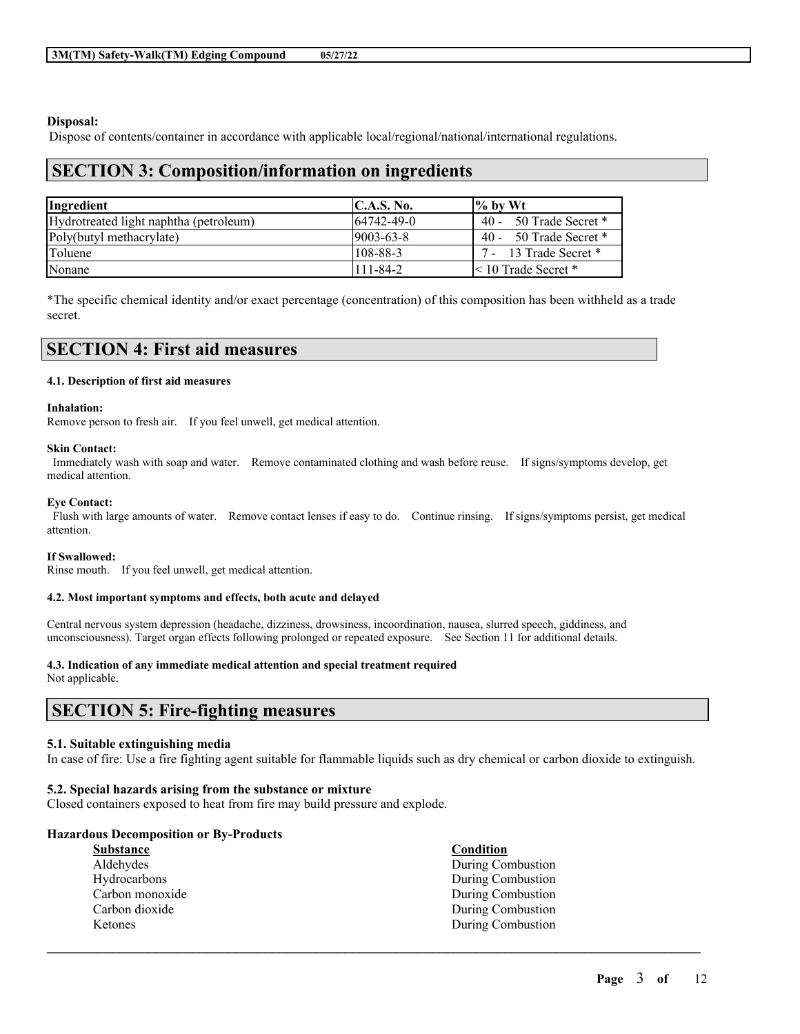## **Disposal:**

Dispose of contents/container in accordance with applicable local/regional/national/international regulations.

## **SECTION 3: Composition/information on ingredients**

| Ingredient                             | C.A.S. No.        | $\frac{1}{6}$ by Wt        |
|----------------------------------------|-------------------|----------------------------|
| Hydrotreated light naphtha (petroleum) | $164742 - 49 - 0$ | 40 - 50 Trade Secret *     |
| Poly(butyl methacrylate)               | $19003 - 63 - 8$  | $40 - 50$ Trade Secret $*$ |
| Toluene                                | $1108 - 88 - 3$   | 7 - 13 Trade Secret *      |
| Nonane                                 | $111 - 84 - 2$    | $\leq 10$ Trade Secret *   |

\*The specific chemical identity and/or exact percentage (concentration) of this composition has been withheld as a trade secret.

#### **4.1. Description of first aid measures**

#### **Inhalation:**

Remove person to fresh air. If you feel unwell, get medical attention.

#### **Skin Contact:**

Immediately wash with soap and water. Remove contaminated clothing and wash before reuse. If signs/symptoms develop, get medical attention.

#### **Eye Contact:**

Flush with large amounts of water. Remove contact lenses if easy to do. Continue rinsing. If signs/symptoms persist, get medical attention.

#### **If Swallowed:**

Rinse mouth. If you feel unwell, get medical attention.

#### **4.2. Most important symptoms and effects, both acute and delayed**

Central nervous system depression (headache, dizziness, drowsiness, incoordination, nausea, slurred speech, giddiness, and unconsciousness). Target organ effects following prolonged or repeated exposure. See Section 11 for additional details.

#### **4.3. Indication of any immediate medical attention and special treatment required**

Not applicable.

# **SECTION 5: Fire-fighting measures**

#### **5.1. Suitable extinguishing media**

In case of fire: Use a fire fighting agent suitable for flammable liquids such as dry chemical or carbon dioxide to extinguish.

 $\mathcal{L}_\mathcal{L} = \mathcal{L}_\mathcal{L} = \mathcal{L}_\mathcal{L} = \mathcal{L}_\mathcal{L} = \mathcal{L}_\mathcal{L} = \mathcal{L}_\mathcal{L} = \mathcal{L}_\mathcal{L} = \mathcal{L}_\mathcal{L} = \mathcal{L}_\mathcal{L} = \mathcal{L}_\mathcal{L} = \mathcal{L}_\mathcal{L} = \mathcal{L}_\mathcal{L} = \mathcal{L}_\mathcal{L} = \mathcal{L}_\mathcal{L} = \mathcal{L}_\mathcal{L} = \mathcal{L}_\mathcal{L} = \mathcal{L}_\mathcal{L}$ 

#### **5.2. Special hazards arising from the substance or mixture**

Closed containers exposed to heat from fire may build pressure and explode.

#### **Hazardous Decomposition or By-Products**

| <b>Substance</b> | Condition         |
|------------------|-------------------|
| Aldehydes        | During Combustion |
| Hydrocarbons     | During Combustion |
| Carbon monoxide  | During Combustion |
| Carbon dioxide   | During Combustion |
| Ketones          | During Combustion |
|                  |                   |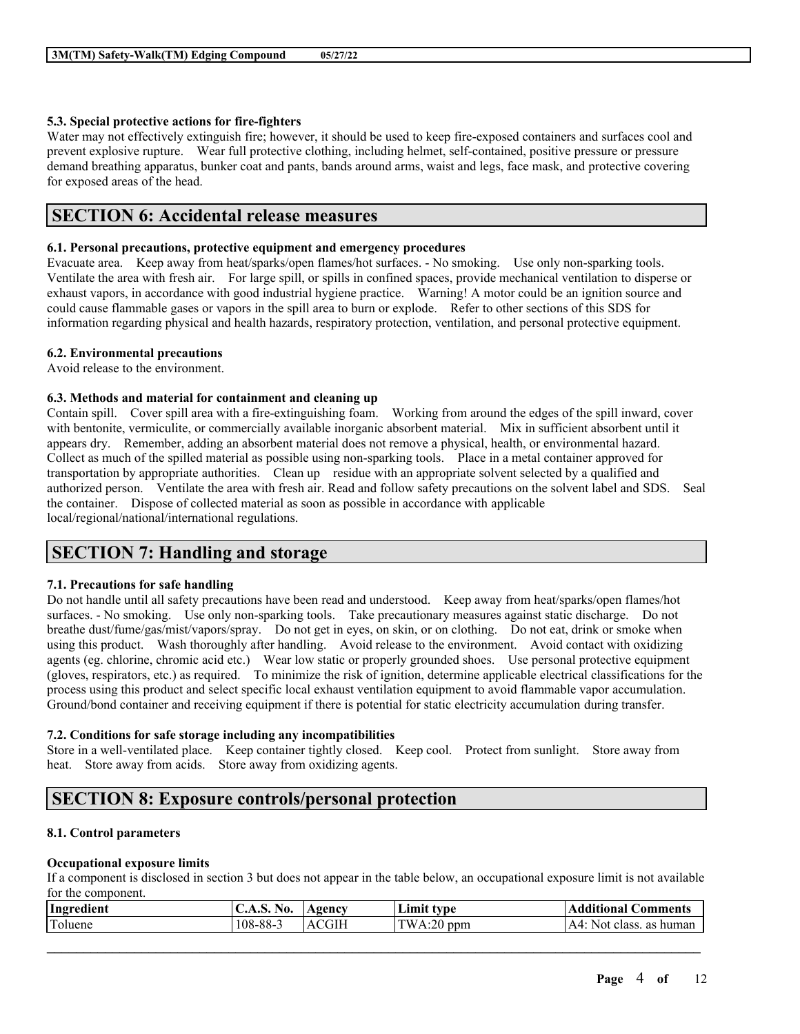## **5.3. Special protective actions for fire-fighters**

Water may not effectively extinguish fire; however, it should be used to keep fire-exposed containers and surfaces cool and prevent explosive rupture. Wear full protective clothing, including helmet, self-contained, positive pressure or pressure demand breathing apparatus, bunker coat and pants, bands around arms, waist and legs, face mask, and protective covering for exposed areas of the head.

# **SECTION 6: Accidental release measures**

## **6.1. Personal precautions, protective equipment and emergency procedures**

Evacuate area. Keep away from heat/sparks/open flames/hot surfaces. - No smoking. Use only non-sparking tools. Ventilate the area with fresh air. For large spill, or spills in confined spaces, provide mechanical ventilation to disperse or exhaust vapors, in accordance with good industrial hygiene practice. Warning! A motor could be an ignition source and could cause flammable gases or vapors in the spill area to burn or explode. Refer to other sections of this SDS for information regarding physical and health hazards, respiratory protection, ventilation, and personal protective equipment.

## **6.2. Environmental precautions**

Avoid release to the environment.

## **6.3. Methods and material for containment and cleaning up**

Contain spill. Cover spill area with a fire-extinguishing foam. Working from around the edges of the spill inward, cover with bentonite, vermiculite, or commercially available inorganic absorbent material. Mix in sufficient absorbent until it appears dry. Remember, adding an absorbent material does not remove a physical, health, or environmental hazard. Collect as much of the spilled material as possible using non-sparking tools. Place in a metal container approved for transportation by appropriate authorities. Clean up residue with an appropriate solvent selected by a qualified and authorized person. Ventilate the area with fresh air. Read and follow safety precautions on the solvent label and SDS. Seal the container. Dispose of collected material as soon as possible in accordance with applicable local/regional/national/international regulations.

# **SECTION 7: Handling and storage**

## **7.1. Precautions for safe handling**

Do not handle until all safety precautions have been read and understood. Keep away from heat/sparks/open flames/hot surfaces. - No smoking. Use only non-sparking tools. Take precautionary measures against static discharge. Do not breathe dust/fume/gas/mist/vapors/spray. Do not get in eyes, on skin, or on clothing. Do not eat, drink or smoke when using this product. Wash thoroughly after handling. Avoid release to the environment. Avoid contact with oxidizing agents (eg. chlorine, chromic acid etc.) Wear low static or properly grounded shoes. Use personal protective equipment (gloves, respirators, etc.) as required. To minimize the risk of ignition, determine applicable electrical classifications for the process using this product and select specific local exhaust ventilation equipment to avoid flammable vapor accumulation. Ground/bond container and receiving equipment if there is potential for static electricity accumulation during transfer.

## **7.2. Conditions for safe storage including any incompatibilities**

Store in a well-ventilated place. Keep container tightly closed. Keep cool. Protect from sunlight. Store away from heat. Store away from acids. Store away from oxidizing agents.

# **SECTION 8: Exposure controls/personal protection**

## **8.1. Control parameters**

## **Occupational exposure limits**

If a component is disclosed in section 3 but does not appear in the table below, an occupational exposure limit is not available for the component.

| Ingredient        | AO.               | <b>gency</b>              | ∡mr′<br>tvne                  | <b>Comments</b><br>**tional J<br>aa |
|-------------------|-------------------|---------------------------|-------------------------------|-------------------------------------|
| $\sim$<br>Toluene | -<br>$108 - 88 -$ | GIH<br>$\mathbf{\Lambda}$ | <b>TW</b><br>ററ<br>ppm<br>. . | human<br>Not.<br>as<br>class.<br>A4 |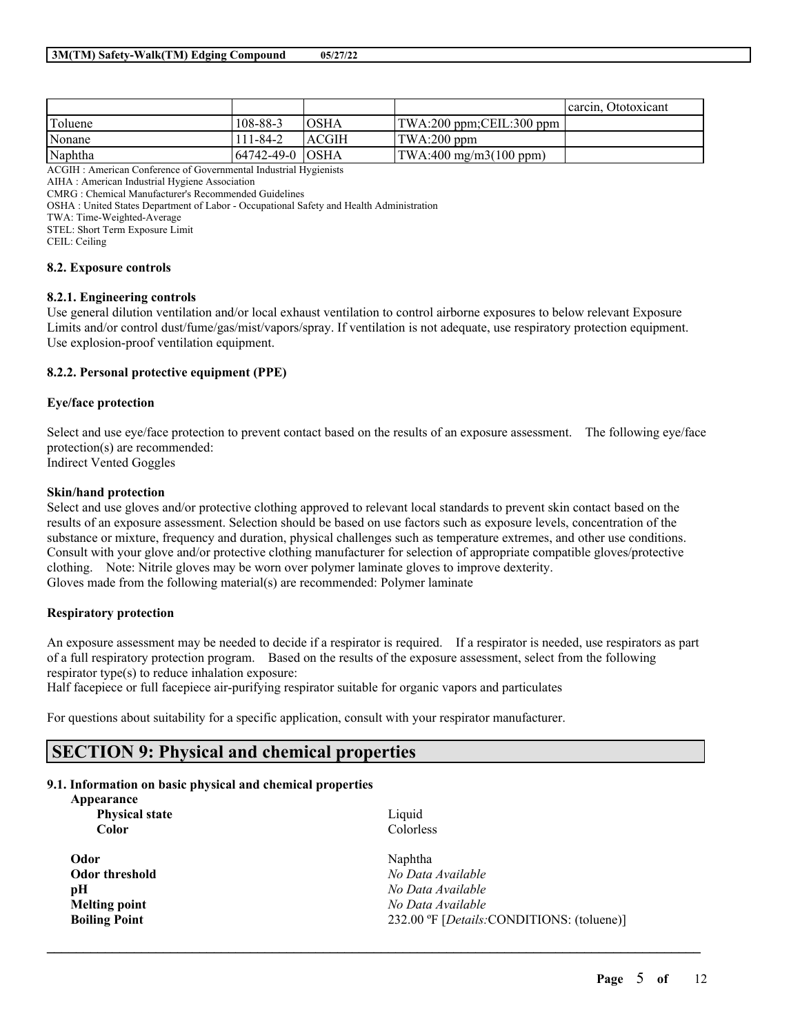|         |                   |             |                                                 | carcin. Ototoxicant |
|---------|-------------------|-------------|-------------------------------------------------|---------------------|
| Toluene | 108-88-3          | <b>OSHA</b> | $\text{TWA:200 ppm}; \text{CEIL:300 ppm}$       |                     |
| Nonane  | 111-84-2          | ACGIH       | $\vert$ TWA:200 ppm                             |                     |
| Naphtha | 164742-49-0 IOSHA |             | $\text{TWA}:400 \text{ mg/m3}(100 \text{ ppm})$ |                     |

ACGIH : American Conference of Governmental Industrial Hygienists

AIHA : American Industrial Hygiene Association

CMRG : Chemical Manufacturer's Recommended Guidelines

OSHA : United States Department of Labor - Occupational Safety and Health Administration

TWA: Time-Weighted-Average

STEL: Short Term Exposure Limit

CEIL: Ceiling

#### **8.2. Exposure controls**

#### **8.2.1. Engineering controls**

Use general dilution ventilation and/or local exhaust ventilation to control airborne exposures to below relevant Exposure Limits and/or control dust/fume/gas/mist/vapors/spray. If ventilation is not adequate, use respiratory protection equipment. Use explosion-proof ventilation equipment.

## **8.2.2. Personal protective equipment (PPE)**

## **Eye/face protection**

Select and use eye/face protection to prevent contact based on the results of an exposure assessment. The following eye/face protection(s) are recommended: Indirect Vented Goggles

## **Skin/hand protection**

Select and use gloves and/or protective clothing approved to relevant local standards to prevent skin contact based on the results of an exposure assessment. Selection should be based on use factors such as exposure levels, concentration of the substance or mixture, frequency and duration, physical challenges such as temperature extremes, and other use conditions. Consult with your glove and/or protective clothing manufacturer for selection of appropriate compatible gloves/protective clothing. Note: Nitrile gloves may be worn over polymer laminate gloves to improve dexterity. Gloves made from the following material(s) are recommended: Polymer laminate

#### **Respiratory protection**

An exposure assessment may be needed to decide if a respirator is required. If a respirator is needed, use respirators as part of a full respiratory protection program. Based on the results of the exposure assessment, select from the following respirator type(s) to reduce inhalation exposure:

Half facepiece or full facepiece air-purifying respirator suitable for organic vapors and particulates

For questions about suitability for a specific application, consult with your respirator manufacturer.

# **SECTION 9: Physical and chemical properties**

#### **9.1. Information on basic physical and chemical properties**

| Liquid                                             |
|----------------------------------------------------|
| Colorless                                          |
| Naphtha                                            |
| No Data Available                                  |
| No Data Available                                  |
| No Data Available                                  |
| 232.00 °F [ <i>Details</i> :CONDITIONS: (toluene)] |
|                                                    |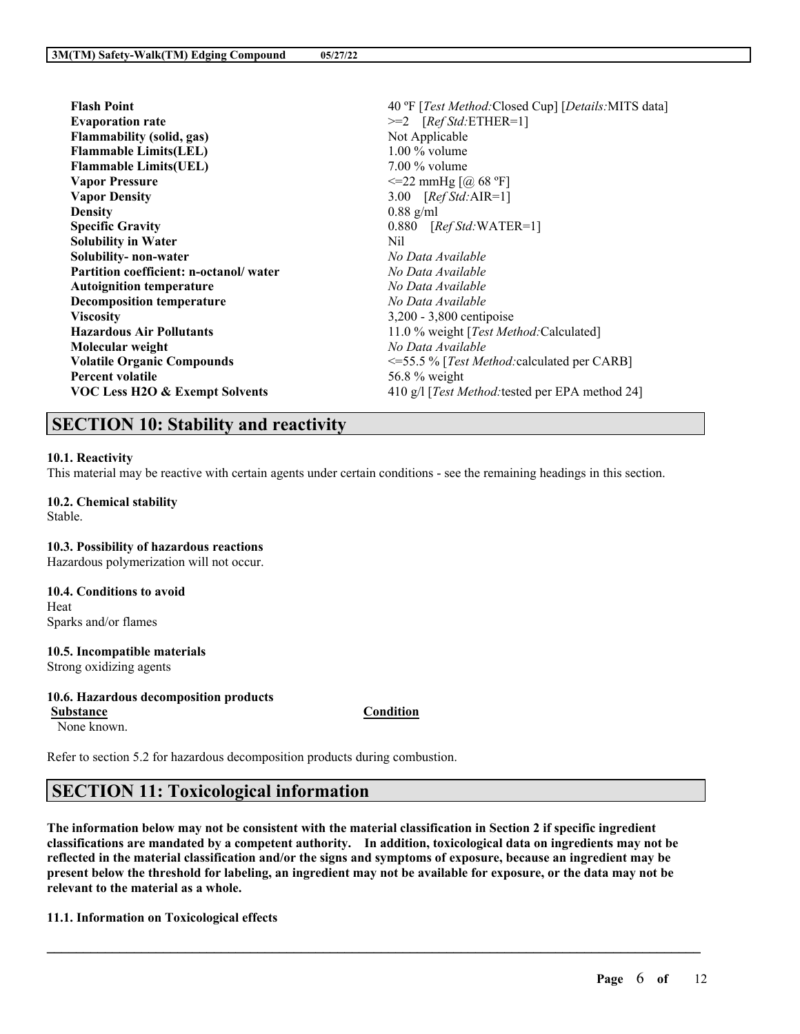| <b>Flash Point</b>                     | 40 °F [Test Method: Closed Cup] [Details: MITS data]      |
|----------------------------------------|-----------------------------------------------------------|
| <b>Evaporation rate</b>                | $>=2$ [ <i>Ref Std</i> :ETHER=1]                          |
| <b>Flammability (solid, gas)</b>       | Not Applicable                                            |
| <b>Flammable Limits(LEL)</b>           | $1.00\%$ volume                                           |
| <b>Flammable Limits (UEL)</b>          | $7.00\%$ volume                                           |
| <b>Vapor Pressure</b>                  | $\leq$ 22 mmHg [@ 68 °F]                                  |
| <b>Vapor Density</b>                   | 3.00 $[RefStd:AIR=1]$                                     |
| <b>Density</b>                         | $0.88$ g/ml                                               |
| <b>Specific Gravity</b>                | $0.880$ [ <i>Ref Std</i> :WATER=1]                        |
| <b>Solubility in Water</b>             | Nil                                                       |
| Solubility- non-water                  | No Data Available                                         |
| Partition coefficient: n-octanol/water | No Data Available                                         |
| <b>Autoignition temperature</b>        | No Data Available                                         |
| <b>Decomposition temperature</b>       | No Data Available                                         |
| <b>Viscosity</b>                       | 3,200 - 3,800 centipoise                                  |
| <b>Hazardous Air Pollutants</b>        | 11.0 % weight [ <i>Test Method</i> :Calculated]           |
| Molecular weight                       | No Data Available                                         |
| <b>Volatile Organic Compounds</b>      | $\leq$ =55.5 % [ <i>Test Method:</i> calculated per CARB] |
| <b>Percent volatile</b>                | 56.8 % weight                                             |
| VOC Less H2O & Exempt Solvents         | 410 g/l [ <i>Test Method:</i> tested per EPA method 24]   |
|                                        |                                                           |

# **SECTION 10: Stability and reactivity**

#### **10.1. Reactivity**

This material may be reactive with certain agents under certain conditions - see the remaining headings in this section.

**10.2. Chemical stability** Stable.

#### **10.3. Possibility of hazardous reactions**

Hazardous polymerization will not occur.

**10.4. Conditions to avoid** Heat Sparks and/or flames

## **10.5. Incompatible materials**

Strong oxidizing agents

#### **10.6. Hazardous decomposition products**

**Substance Condition**

None known.

Refer to section 5.2 for hazardous decomposition products during combustion.

# **SECTION 11: Toxicological information**

The information below may not be consistent with the material classification in Section 2 if specific ingredient **classifications are mandated by a competent authority. In addition, toxicological data on ingredients may not be** reflected in the material classification and/or the signs and symptoms of exposure, because an ingredient may be present below the threshold for labeling, an ingredient may not be available for exposure, or the data may not be **relevant to the material as a whole.**

 $\mathcal{L}_\mathcal{L} = \mathcal{L}_\mathcal{L} = \mathcal{L}_\mathcal{L} = \mathcal{L}_\mathcal{L} = \mathcal{L}_\mathcal{L} = \mathcal{L}_\mathcal{L} = \mathcal{L}_\mathcal{L} = \mathcal{L}_\mathcal{L} = \mathcal{L}_\mathcal{L} = \mathcal{L}_\mathcal{L} = \mathcal{L}_\mathcal{L} = \mathcal{L}_\mathcal{L} = \mathcal{L}_\mathcal{L} = \mathcal{L}_\mathcal{L} = \mathcal{L}_\mathcal{L} = \mathcal{L}_\mathcal{L} = \mathcal{L}_\mathcal{L}$ 

## **11.1. Information on Toxicological effects**

**Page** 6 **of** 12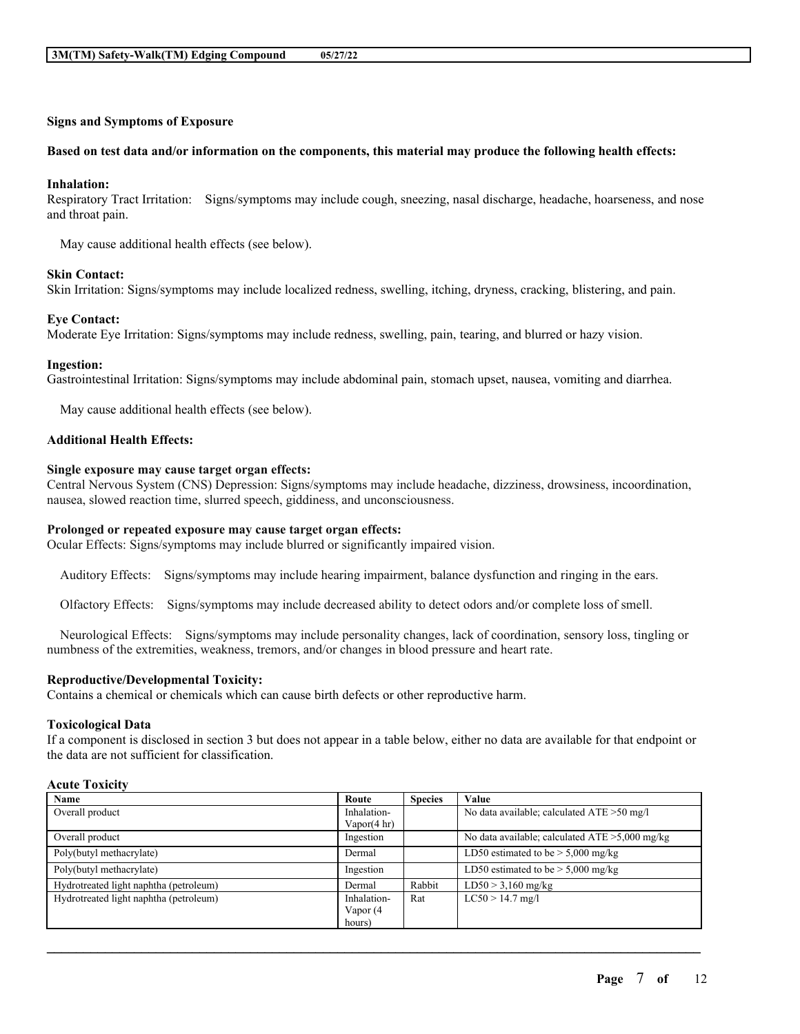## **Signs and Symptoms of Exposure**

#### Based on test data and/or information on the components, this material may produce the following health effects:

#### **Inhalation:**

Respiratory Tract Irritation: Signs/symptoms may include cough, sneezing, nasal discharge, headache, hoarseness, and nose and throat pain.

May cause additional health effects (see below).

#### **Skin Contact:**

Skin Irritation: Signs/symptoms may include localized redness, swelling, itching, dryness, cracking, blistering, and pain.

#### **Eye Contact:**

Moderate Eye Irritation: Signs/symptoms may include redness, swelling, pain, tearing, and blurred or hazy vision.

#### **Ingestion:**

Gastrointestinal Irritation: Signs/symptoms may include abdominal pain, stomach upset, nausea, vomiting and diarrhea.

May cause additional health effects (see below).

### **Additional Health Effects:**

#### **Single exposure may cause target organ effects:**

Central Nervous System (CNS) Depression: Signs/symptoms may include headache, dizziness, drowsiness, incoordination, nausea, slowed reaction time, slurred speech, giddiness, and unconsciousness.

#### **Prolonged or repeated exposure may cause target organ effects:**

Ocular Effects: Signs/symptoms may include blurred or significantly impaired vision.

Auditory Effects: Signs/symptoms may include hearing impairment, balance dysfunction and ringing in the ears.

Olfactory Effects: Signs/symptoms may include decreased ability to detect odors and/or complete loss of smell.

Neurological Effects: Signs/symptoms may include personality changes, lack of coordination, sensory loss, tingling or numbness of the extremities, weakness, tremors, and/or changes in blood pressure and heart rate.

#### **Reproductive/Developmental Toxicity:**

Contains a chemical or chemicals which can cause birth defects or other reproductive harm.

#### **Toxicological Data**

If a component is disclosed in section 3 but does not appear in a table below, either no data are available for that endpoint or the data are not sufficient for classification.

## **Acute Toxicity**

| Name                                   | Route                  | <b>Species</b> | Value                                             |
|----------------------------------------|------------------------|----------------|---------------------------------------------------|
| Overall product                        | Inhalation-            |                | No data available; calculated ATE > 50 mg/l       |
|                                        | Vapor $(4 \text{ hr})$ |                |                                                   |
| Overall product                        | Ingestion              |                | No data available; calculated $ATE > 5,000$ mg/kg |
| Poly(butyl methacrylate)               | Dermal                 |                | LD50 estimated to be $> 5,000$ mg/kg              |
| Poly(butyl methacrylate)               | Ingestion              |                | LD50 estimated to be $> 5,000$ mg/kg              |
| Hydrotreated light naphtha (petroleum) | Dermal                 | Rabbit         | $LD50 > 3,160$ mg/kg                              |
| Hydrotreated light naphtha (petroleum) | Inhalation-            | Rat            | $LC50 > 14.7$ mg/l                                |
|                                        | Vapor (4               |                |                                                   |
|                                        | hours)                 |                |                                                   |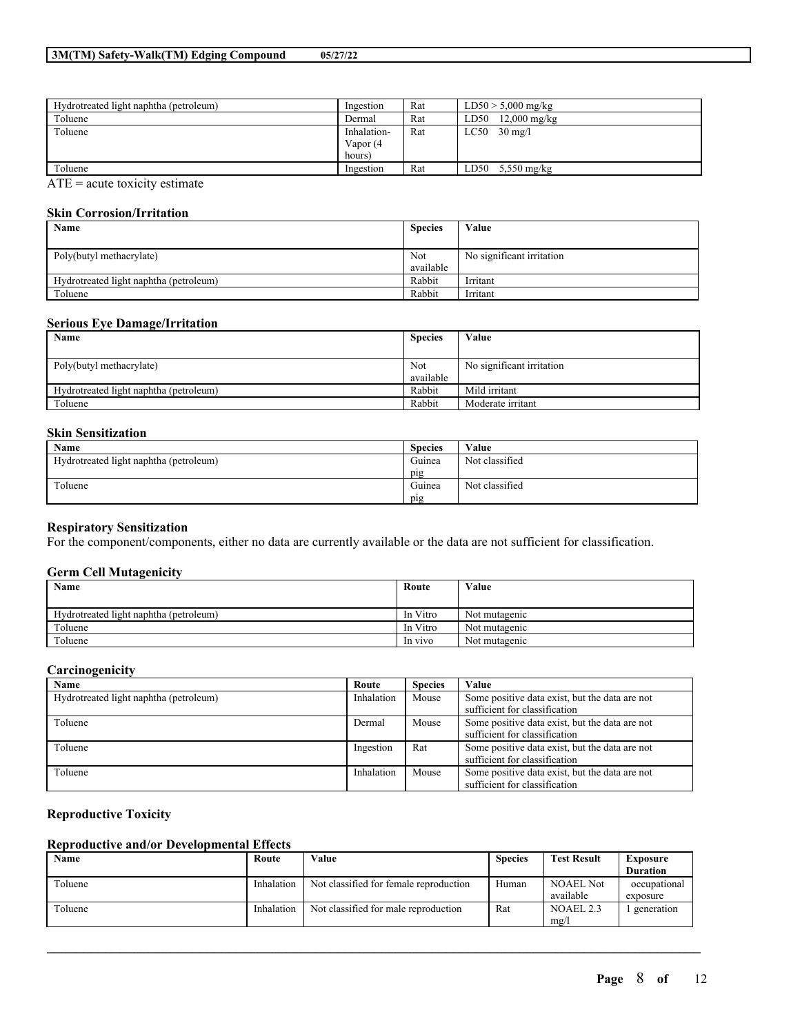| Hydrotreated light naphtha (petroleum)                                                                                           | Ingestion   | Rat | $LD50 > 5,000$ mg/kg           |
|----------------------------------------------------------------------------------------------------------------------------------|-------------|-----|--------------------------------|
| Toluene                                                                                                                          | Dermal      | Rat | $12,000 \text{ mg/kg}$<br>LD50 |
| Toluene                                                                                                                          | Inhalation- | Rat | LC50<br>$30 \text{ mg/l}$      |
|                                                                                                                                  | Vapor (4    |     |                                |
|                                                                                                                                  | hours)      |     |                                |
| Toluene                                                                                                                          | Ingestion   | Rat | LD50<br>$5,550$ mg/kg          |
| $\sim$ $\sim$<br>the contract of the contract of the contract of the contract of the contract of the contract of the contract of |             |     |                                |

 $ATE = acute$  toxicity estimate

## **Skin Corrosion/Irritation**

| Name                                   | <b>Species</b> | Value                     |
|----------------------------------------|----------------|---------------------------|
|                                        |                |                           |
| Poly(butyl methacrylate)               | Not            | No significant irritation |
|                                        | available      |                           |
| Hydrotreated light naphtha (petroleum) | Rabbit         | Irritant                  |
| Toluene                                | Rabbit         | Irritant                  |

## **Serious Eye Damage/Irritation**

| Name                                   | <b>Species</b> | Value                     |
|----------------------------------------|----------------|---------------------------|
|                                        |                |                           |
| Poly(butyl methacrylate)               | Not            | No significant irritation |
|                                        | available      |                           |
| Hydrotreated light naphtha (petroleum) | Rabbit         | Mild irritant             |
| Toluene                                | Rabbit         | Moderate irritant         |

## **Skin Sensitization**

| <b>Name</b>                            | <b>Species</b> | Value          |
|----------------------------------------|----------------|----------------|
| Hydrotreated light naphtha (petroleum) | Guinea         | Not classified |
|                                        | pig            |                |
| Toluene                                | Guinea         | Not classified |
|                                        | pig            |                |

## **Respiratory Sensitization**

For the component/components, either no data are currently available or the data are not sufficient for classification.

## **Germ Cell Mutagenicity**

| Name                                   | Route    | Value         |
|----------------------------------------|----------|---------------|
|                                        |          |               |
| Hydrotreated light naphtha (petroleum) | In Vitro | Not mutagenic |
| Toluene                                | In Vitro | Not mutagenic |
| Toluene                                | In vivo  | Not mutagenic |

## **Carcinogenicity**

| Name                                   | Route      | <b>Species</b> | Value                                          |
|----------------------------------------|------------|----------------|------------------------------------------------|
| Hydrotreated light naphtha (petroleum) | Inhalation | Mouse          | Some positive data exist, but the data are not |
|                                        |            |                | sufficient for classification                  |
| Toluene                                | Dermal     | Mouse          | Some positive data exist, but the data are not |
|                                        |            |                | sufficient for classification                  |
| Toluene                                | Ingestion  | Rat            | Some positive data exist, but the data are not |
|                                        |            |                | sufficient for classification                  |
| Toluene                                | Inhalation | Mouse          | Some positive data exist, but the data are not |
|                                        |            |                | sufficient for classification                  |

## **Reproductive Toxicity**

## **Reproductive and/or Developmental Effects**

| Name    | Route      | Value                                  | <b>Species</b> | <b>Test Result</b> | <b>Exposure</b> |
|---------|------------|----------------------------------------|----------------|--------------------|-----------------|
|         |            |                                        |                |                    | <b>Duration</b> |
| Toluene | Inhalation | Not classified for female reproduction | Human          | <b>NOAEL Not</b>   | occupational    |
|         |            |                                        |                | available          | exposure        |
| Toluene | Inhalation | Not classified for male reproduction   | Rat            | NOAEL.2.3          | generation      |
|         |            |                                        |                | mg/l               |                 |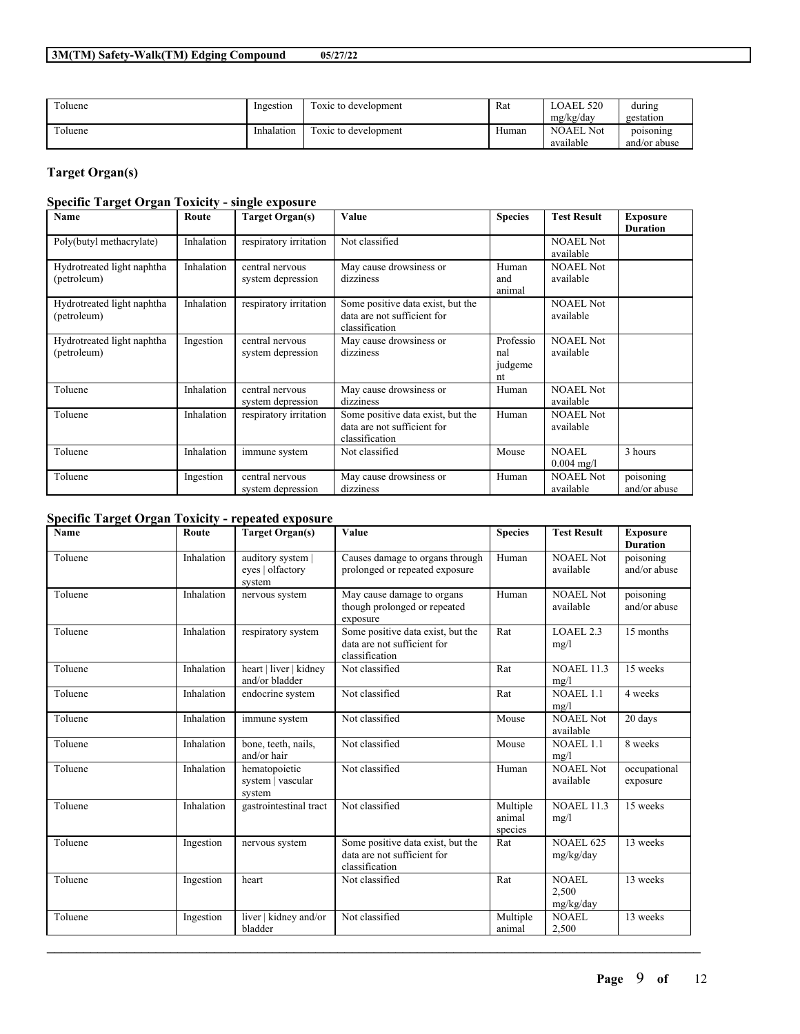| Toluene | Ingestion  | Toxic to development | Rat   | LOAEL 520                     | during                    |
|---------|------------|----------------------|-------|-------------------------------|---------------------------|
|         |            |                      |       | mg/kg/day                     | gestation                 |
| Toluene | Inhalation | Toxic to development | Human | <b>NOAEL Not</b><br>available | poisoning<br>and/or abuse |

## **Target Organ(s)**

## **Specific Target Organ Toxicity - single exposure**

| Name                                      | Route      | <b>Target Organ(s)</b>               | Value                                                                              | <b>Species</b>                    | <b>Test Result</b>                   | <b>Exposure</b><br><b>Duration</b> |
|-------------------------------------------|------------|--------------------------------------|------------------------------------------------------------------------------------|-----------------------------------|--------------------------------------|------------------------------------|
| Poly(butyl methacrylate)                  | Inhalation | respiratory irritation               | Not classified                                                                     |                                   | <b>NOAEL Not</b><br>available        |                                    |
| Hydrotreated light naphtha<br>(petroleum) | Inhalation | central nervous<br>system depression | May cause drowsiness or<br>dizziness                                               | Human<br>and<br>animal            | <b>NOAEL Not</b><br>available        |                                    |
| Hydrotreated light naphtha<br>(petroleum) | Inhalation | respiratory irritation               | Some positive data exist, but the<br>data are not sufficient for<br>classification |                                   | NOAEL Not<br>available               |                                    |
| Hydrotreated light naphtha<br>(petroleum) | Ingestion  | central nervous<br>system depression | May cause drowsiness or<br>dizziness                                               | Professio<br>nal<br>judgeme<br>nt | <b>NOAEL Not</b><br>available        |                                    |
| Toluene                                   | Inhalation | central nervous<br>system depression | May cause drowsiness or<br>dizziness                                               | Human                             | <b>NOAEL Not</b><br>available        |                                    |
| Toluene                                   | Inhalation | respiratory irritation               | Some positive data exist, but the<br>data are not sufficient for<br>classification | Human                             | <b>NOAEL Not</b><br>available        |                                    |
| Toluene                                   | Inhalation | immune system                        | Not classified                                                                     | Mouse                             | <b>NOAEL</b><br>$0.004 \text{ mg/l}$ | 3 hours                            |
| Toluene                                   | Ingestion  | central nervous<br>system depression | May cause drowsiness or<br>dizziness                                               | Human                             | <b>NOAEL Not</b><br>available        | poisoning<br>and/or abuse          |

## **Specific Target Organ Toxicity - repeated exposure**

| Name    | Route      | <b>Target Organ(s)</b>                        | Value                                                                              | <b>Species</b>                | <b>Test Result</b>                 | <b>Exposure</b><br><b>Duration</b> |
|---------|------------|-----------------------------------------------|------------------------------------------------------------------------------------|-------------------------------|------------------------------------|------------------------------------|
| Toluene | Inhalation | auditory system<br>eyes   olfactory<br>system | Causes damage to organs through<br>prolonged or repeated exposure                  | Human                         | <b>NOAEL Not</b><br>available      | poisoning<br>and/or abuse          |
| Toluene | Inhalation | nervous system                                | May cause damage to organs<br>though prolonged or repeated<br>exposure             | Human                         | NOAEL Not<br>available             | poisoning<br>and/or abuse          |
| Toluene | Inhalation | respiratory system                            | Some positive data exist, but the<br>data are not sufficient for<br>classification | Rat                           | LOAEL 2.3<br>mg/l                  | 15 months                          |
| Toluene | Inhalation | heart   liver   kidney<br>and/or bladder      | Not classified                                                                     | Rat                           | <b>NOAEL 11.3</b><br>mg/l          | 15 weeks                           |
| Toluene | Inhalation | endocrine system                              | Not classified                                                                     | Rat                           | <b>NOAEL 1.1</b><br>mg/l           | 4 weeks                            |
| Toluene | Inhalation | immune system                                 | Not classified                                                                     | Mouse                         | <b>NOAEL Not</b><br>available      | 20 days                            |
| Toluene | Inhalation | bone, teeth, nails,<br>and/or hair            | Not classified                                                                     | Mouse                         | $\overline{N}$ OAEL 1.1<br>mg/l    | 8 weeks                            |
| Toluene | Inhalation | hematopoietic<br>system   vascular<br>system  | Not classified                                                                     | Human                         | <b>NOAEL Not</b><br>available      | occupational<br>exposure           |
| Toluene | Inhalation | gastrointestinal tract                        | Not classified                                                                     | Multiple<br>animal<br>species | <b>NOAEL 11.3</b><br>mg/l          | 15 weeks                           |
| Toluene | Ingestion  | nervous system                                | Some positive data exist, but the<br>data are not sufficient for<br>classification | Rat                           | <b>NOAEL 625</b><br>mg/kg/day      | 13 weeks                           |
| Toluene | Ingestion  | heart                                         | Not classified                                                                     | Rat                           | <b>NOAEL</b><br>2,500<br>mg/kg/day | 13 weeks                           |
| Toluene | Ingestion  | liver   kidney and/or<br>bladder              | Not classified                                                                     | Multiple<br>animal            | <b>NOAEL</b><br>2,500              | 13 weeks                           |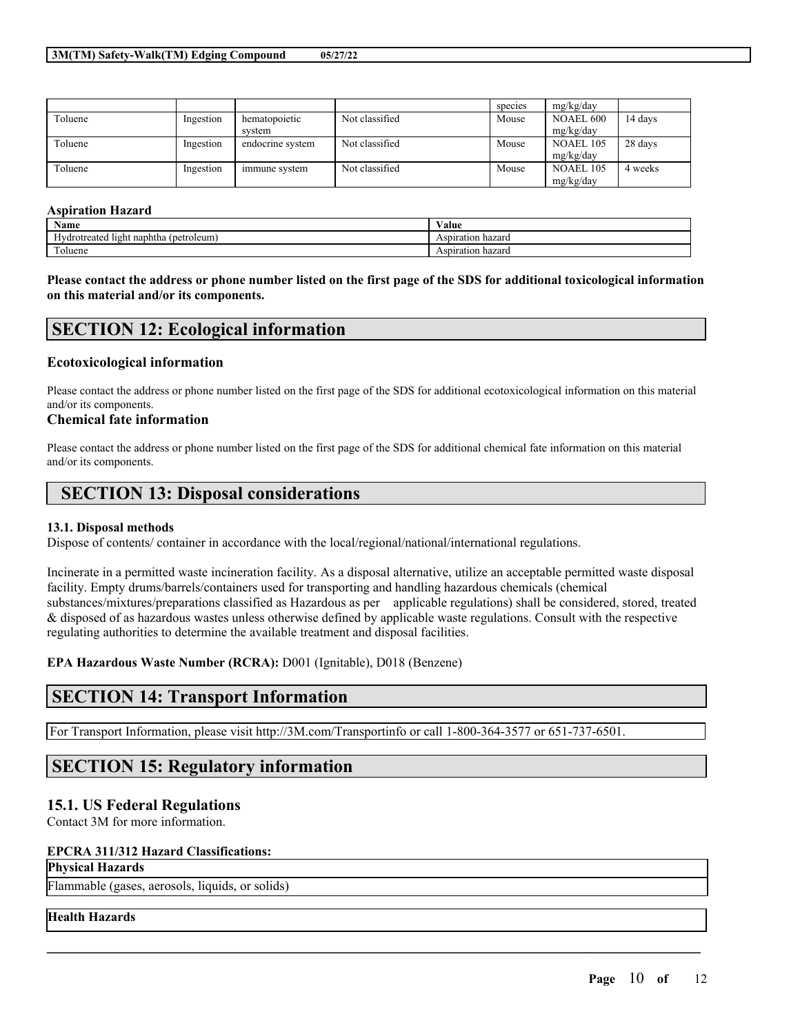|         |           |                  |                | species | mg/kg/day |         |
|---------|-----------|------------------|----------------|---------|-----------|---------|
| Toluene | Ingestion | hematopoietic    | Not classified | Mouse   | NOAEL 600 | 14 days |
|         |           | system           |                |         | mg/kg/day |         |
| Toluene | Ingestion | endocrine system | Not classified | Mouse   | NOAEL 105 | 28 days |
|         |           |                  |                |         | mg/kg/day |         |
| Toluene | Ingestion | immune system    | Not classified | Mouse   | NOAEL 105 | 4 weeks |
|         |           |                  |                |         | mg/kg/day |         |

#### **Aspiration Hazard**

| Name                                                  | -- -<br>Value        |
|-------------------------------------------------------|----------------------|
| . .<br>l light naphtha (<br>(petroleum)<br>drotreated | Aspiration hazard    |
| CITY.<br>oluene                                       | hazard<br>Aspiration |

Please contact the address or phone number listed on the first page of the SDS for additional toxicological information **on this material and/or its components.**

## **SECTION 12: Ecological information**

## **Ecotoxicological information**

Please contact the address or phone number listed on the first page of the SDS for additional ecotoxicological information on this material and/or its components.

#### **Chemical fate information**

Please contact the address or phone number listed on the first page of the SDS for additional chemical fate information on this material and/or its components.

## **SECTION 13: Disposal considerations**

#### **13.1. Disposal methods**

Dispose of contents/ container in accordance with the local/regional/national/international regulations.

Incinerate in a permitted waste incineration facility. As a disposal alternative, utilize an acceptable permitted waste disposal facility. Empty drums/barrels/containers used for transporting and handling hazardous chemicals (chemical substances/mixtures/preparations classified as Hazardous as per applicable regulations) shall be considered, stored, treated & disposed of as hazardous wastes unless otherwise defined by applicable waste regulations. Consult with the respective regulating authorities to determine the available treatment and disposal facilities.

 $\mathcal{L}_\mathcal{L} = \mathcal{L}_\mathcal{L} = \mathcal{L}_\mathcal{L} = \mathcal{L}_\mathcal{L} = \mathcal{L}_\mathcal{L} = \mathcal{L}_\mathcal{L} = \mathcal{L}_\mathcal{L} = \mathcal{L}_\mathcal{L} = \mathcal{L}_\mathcal{L} = \mathcal{L}_\mathcal{L} = \mathcal{L}_\mathcal{L} = \mathcal{L}_\mathcal{L} = \mathcal{L}_\mathcal{L} = \mathcal{L}_\mathcal{L} = \mathcal{L}_\mathcal{L} = \mathcal{L}_\mathcal{L} = \mathcal{L}_\mathcal{L}$ 

**EPA Hazardous Waste Number (RCRA):** D001 (Ignitable), D018 (Benzene)

## **SECTION 14: Transport Information**

For Transport Information, please visit http://3M.com/Transportinfo or call 1-800-364-3577 or 651-737-6501.

# **SECTION 15: Regulatory information**

## **15.1. US Federal Regulations**

Contact 3M for more information.

#### **EPCRA 311/312 Hazard Classifications:**

## **Physical Hazards**

Flammable (gases, aerosols, liquids, or solids)

#### **Health Hazards**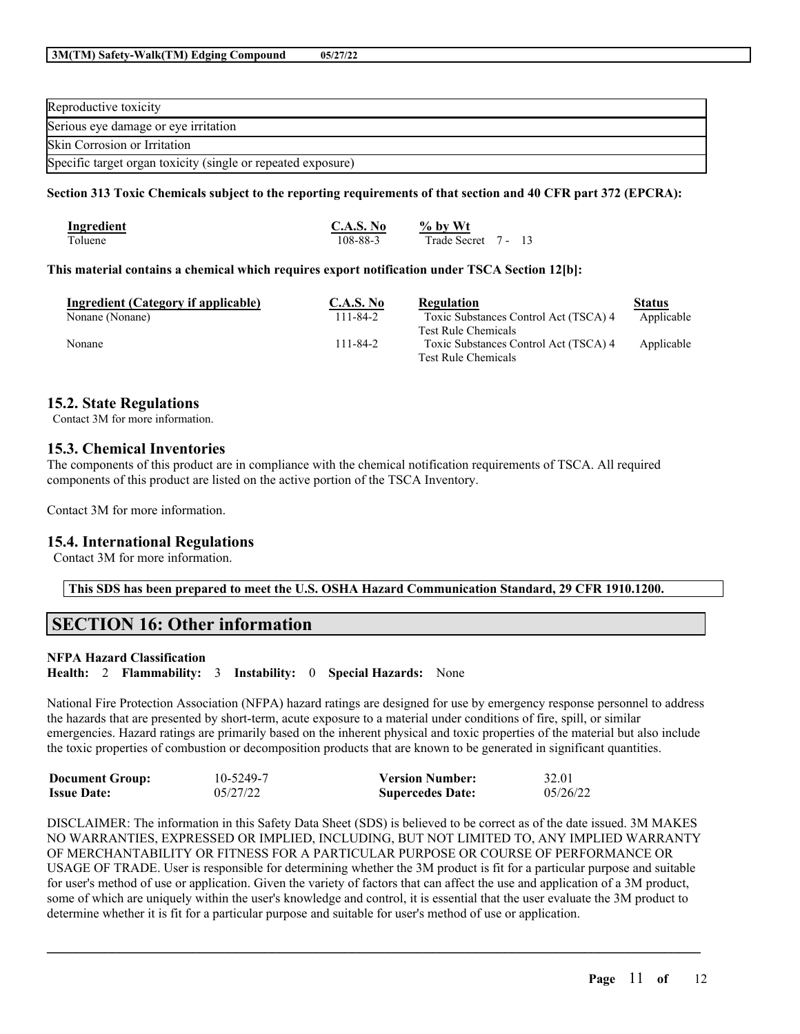| Reproductive toxicity                                        |
|--------------------------------------------------------------|
| Serious eye damage or eye irritation                         |
| Skin Corrosion or Irritation                                 |
| Specific target organ toxicity (single or repeated exposure) |

## Section 313 Toxic Chemicals subject to the reporting requirements of that section and 40 CFR part 372 (EPCRA):

| <b>Ingredient</b> | C.A.S. No | $%$ by Wt           |  |
|-------------------|-----------|---------------------|--|
| Toluene           | 108-88-3  | Trade Secret 7 - 13 |  |

#### **This material contains a chemical which requires export notification under TSCA Section 12[b]:**

| Ingredient (Category if applicable) | C.A.S. No | Regulation                            | <b>Status</b> |
|-------------------------------------|-----------|---------------------------------------|---------------|
| Nonane (Nonane)                     | 111-84-2  | Toxic Substances Control Act (TSCA) 4 | Applicable    |
|                                     |           | <b>Test Rule Chemicals</b>            |               |
| Nonane                              | 111-84-2  | Toxic Substances Control Act (TSCA) 4 | Applicable    |
|                                     |           | <b>Test Rule Chemicals</b>            |               |

## **15.2. State Regulations**

Contact 3M for more information.

## **15.3. Chemical Inventories**

The components of this product are in compliance with the chemical notification requirements of TSCA. All required components of this product are listed on the active portion of the TSCA Inventory.

Contact 3M for more information.

## **15.4. International Regulations**

Contact 3M for more information.

**This SDS has been prepared to meet the U.S. OSHA Hazard Communication Standard, 29 CFR 1910.1200.**

# **SECTION 16: Other information**

#### **NFPA Hazard Classification**

**Health:** 2 **Flammability:** 3 **Instability:** 0 **Special Hazards:** None

National Fire Protection Association (NFPA) hazard ratings are designed for use by emergency response personnel to address the hazards that are presented by short-term, acute exposure to a material under conditions of fire, spill, or similar emergencies. Hazard ratings are primarily based on the inherent physical and toxic properties of the material but also include the toxic properties of combustion or decomposition products that are known to be generated in significant quantities.

| <b>Document Group:</b> | 10-5249-7 | <b>Version Number:</b>  | 32.01    |
|------------------------|-----------|-------------------------|----------|
| <b>Issue Date:</b>     | 05/27/22  | <b>Supercedes Date:</b> | 05/26/22 |

DISCLAIMER: The information in this Safety Data Sheet (SDS) is believed to be correct as of the date issued. 3M MAKES NO WARRANTIES, EXPRESSED OR IMPLIED, INCLUDING, BUT NOT LIMITED TO, ANY IMPLIED WARRANTY OF MERCHANTABILITY OR FITNESS FOR A PARTICULAR PURPOSE OR COURSE OF PERFORMANCE OR USAGE OF TRADE. User is responsible for determining whether the 3M product is fit for a particular purpose and suitable for user's method of use or application. Given the variety of factors that can affect the use and application of a 3M product, some of which are uniquely within the user's knowledge and control, it is essential that the user evaluate the 3M product to determine whether it is fit for a particular purpose and suitable for user's method of use or application.